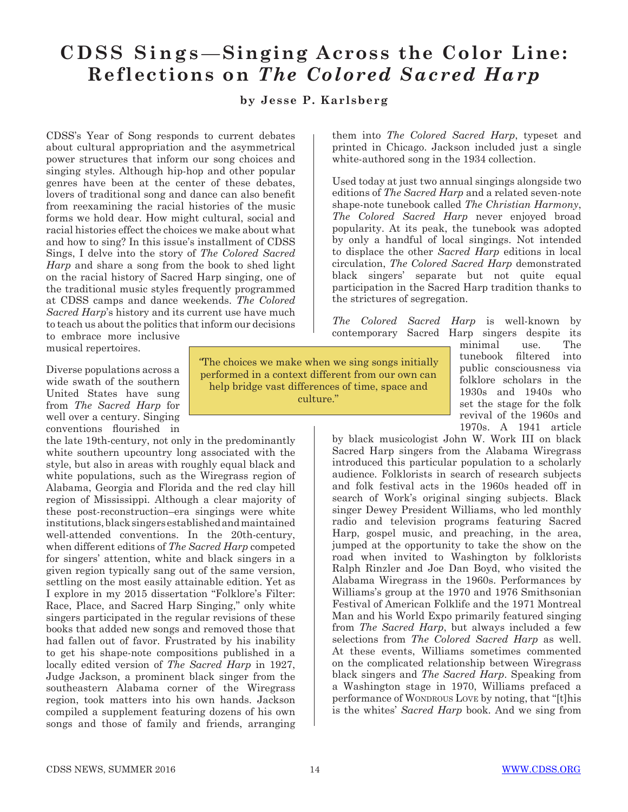# **CDSS Sings**—**Singing Across the Color Line: Reflections on** *The Colored Sacred Harp*

#### **by Jesse P. Karlsberg**

CDSS's Year of Song responds to current debates about cultural appropriation and the asymmetrical power structures that inform our song choices and singing styles. Although hip-hop and other popular genres have been at the center of these debates, lovers of traditional song and dance can also benefit from reexamining the racial histories of the music forms we hold dear. How might cultural, social and racial histories effect the choices we make about what and how to sing? In this issue's installment of CDSS Sings, I delve into the story of *The Colored Sacred Harp* and share a song from the book to shed light on the racial history of Sacred Harp singing, one of the traditional music styles frequently programmed at CDSS camps and dance weekends. *The Colored Sacred Harp*'s history and its current use have much to teach us about the politics that inform our decisions to embrace more inclusive

musical repertoires.

Diverse populations across a wide swath of the southern United States have sung from *The Sacred Harp* for well over a century. Singing conventions flourished in

the late 19th-century, not only in the predominantly white southern upcountry long associated with the style, but also in areas with roughly equal black and white populations, such as the Wiregrass region of Alabama, Georgia and Florida and the red clay hill region of Mississippi. Although a clear majority of these post-reconstruction–era singings were white institutions, black singers established and maintained well-attended conventions. In the 20th-century, when different editions of *The Sacred Harp* competed for singers' attention, white and black singers in a given region typically sang out of the same version, settling on the most easily attainable edition. Yet as I explore in my 2015 dissertation "Folklore's Filter: Race, Place, and Sacred Harp Singing," only white singers participated in the regular revisions of these books that added new songs and removed those that had fallen out of favor. Frustrated by his inability to get his shape-note compositions published in a locally edited version of *The Sacred Harp* in 1927, Judge Jackson, a prominent black singer from the southeastern Alabama corner of the Wiregrass region, took matters into his own hands. Jackson compiled a supplement featuring dozens of his own songs and those of family and friends, arranging them into *The Colored Sacred Harp*, typeset and printed in Chicago. Jackson included just a single white-authored song in the 1934 collection.

Used today at just two annual singings alongside two editions of *The Sacred Harp* and a related seven-note shape-note tunebook called *The Christian Harmony*, *The Colored Sacred Harp* never enjoyed broad popularity. At its peak, the tunebook was adopted by only a handful of local singings. Not intended to displace the other *Sacred Harp* editions in local circulation, *The Colored Sacred Harp* demonstrated black singers' separate but not quite equal participation in the Sacred Harp tradition thanks to the strictures of segregation.

*The Colored Sacred Harp* is well-known by contemporary Sacred Harp singers despite its

*"*The choices we make when we sing songs initially performed in a context different from our own can help bridge vast differences of time, space and culture."

minimal use. The tunebook filtered into public consciousness via folklore scholars in the 1930s and 1940s who set the stage for the folk revival of the 1960s and 1970s. A 1941 article

by black musicologist John W. Work III on black Sacred Harp singers from the Alabama Wiregrass introduced this particular population to a scholarly audience. Folklorists in search of research subjects and folk festival acts in the 1960s headed off in search of Work's original singing subjects. Black singer Dewey President Williams, who led monthly radio and television programs featuring Sacred Harp, gospel music, and preaching, in the area, jumped at the opportunity to take the show on the road when invited to Washington by folklorists Ralph Rinzler and Joe Dan Boyd, who visited the Alabama Wiregrass in the 1960s. Performances by Williams's group at the 1970 and 1976 Smithsonian Festival of American Folklife and the 1971 Montreal Man and his World Expo primarily featured singing from *The Sacred Harp*, but always included a few selections from *The Colored Sacred Harp* as well. At these events, Williams sometimes commented on the complicated relationship between Wiregrass black singers and *The Sacred Harp*. Speaking from a Washington stage in 1970, Williams prefaced a performance of WONDROUS LOVE by noting, that "[t]his is the whites' *Sacred Harp* book. And we sing from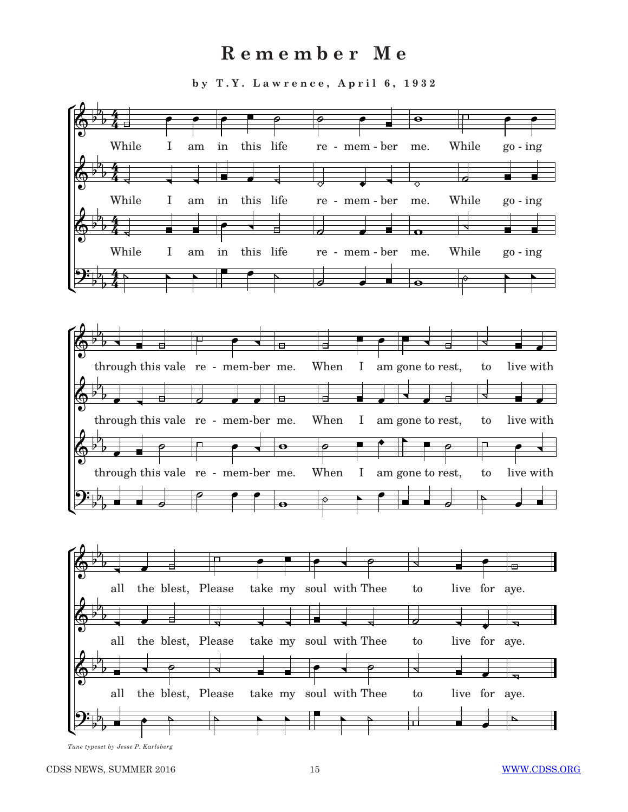## $R$  emember Me

by T.Y. Lawrence, April 6, 1932



 $\frac{1}{4}$  line, typeset by  $\frac{1}{2}$  occur. 1. Intrinsicting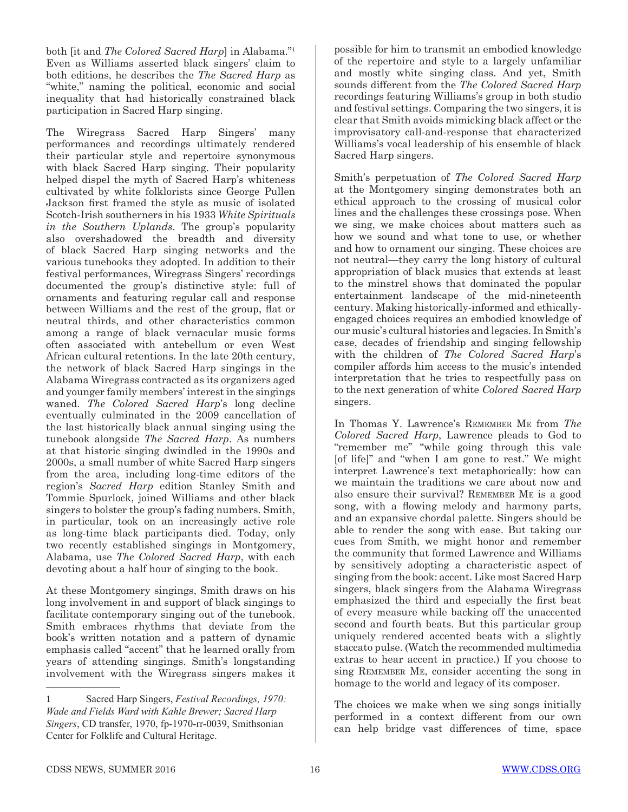both [it and *The Colored Sacred Harp*] in Alabama."1 Even as Williams asserted black singers' claim to both editions, he describes the *The Sacred Harp* as "white," naming the political, economic and social inequality that had historically constrained black participation in Sacred Harp singing.

The Wiregrass Sacred Harp Singers' many performances and recordings ultimately rendered their particular style and repertoire synonymous with black Sacred Harp singing. Their popularity helped dispel the myth of Sacred Harp's whiteness cultivated by white folklorists since George Pullen Jackson first framed the style as music of isolated Scotch-Irish southerners in his 1933 *White Spirituals in the Southern Uplands*. The group's popularity also overshadowed the breadth and diversity of black Sacred Harp singing networks and the various tunebooks they adopted. In addition to their festival performances, Wiregrass Singers' recordings documented the group's distinctive style: full of ornaments and featuring regular call and response between Williams and the rest of the group, flat or neutral thirds, and other characteristics common among a range of black vernacular music forms often associated with antebellum or even West African cultural retentions. In the late 20th century, the network of black Sacred Harp singings in the Alabama Wiregrass contracted as its organizers aged and younger family members' interest in the singings waned. *The Colored Sacred Harp*'s long decline eventually culminated in the 2009 cancellation of the last historically black annual singing using the tunebook alongside *The Sacred Harp*. As numbers at that historic singing dwindled in the 1990s and 2000s, a small number of white Sacred Harp singers from the area, including long-time editors of the region's *Sacred Harp* edition Stanley Smith and Tommie Spurlock, joined Williams and other black singers to bolster the group's fading numbers. Smith, in particular, took on an increasingly active role as long-time black participants died. Today, only two recently established singings in Montgomery, Alabama, use *The Colored Sacred Harp*, with each devoting about a half hour of singing to the book.

At these Montgomery singings, Smith draws on his long involvement in and support of black singings to facilitate contemporary singing out of the tunebook. Smith embraces rhythms that deviate from the book's written notation and a pattern of dynamic emphasis called "accent" that he learned orally from years of attending singings. Smith's longstanding involvement with the Wiregrass singers makes it possible for him to transmit an embodied knowledge of the repertoire and style to a largely unfamiliar and mostly white singing class. And yet, Smith sounds different from the *The Colored Sacred Harp* recordings featuring Williams's group in both studio and festival settings. Comparing the two singers, it is clear that Smith avoids mimicking black affect or the improvisatory call-and-response that characterized Williams's vocal leadership of his ensemble of black Sacred Harp singers.

Smith's perpetuation of *The Colored Sacred Harp* at the Montgomery singing demonstrates both an ethical approach to the crossing of musical color lines and the challenges these crossings pose. When we sing, we make choices about matters such as how we sound and what tone to use, or whether and how to ornament our singing. These choices are not neutral—they carry the long history of cultural appropriation of black musics that extends at least to the minstrel shows that dominated the popular entertainment landscape of the mid-nineteenth century. Making historically-informed and ethicallyengaged choices requires an embodied knowledge of our music's cultural histories and legacies. In Smith's case, decades of friendship and singing fellowship with the children of *The Colored Sacred Harp*'s compiler affords him access to the music's intended interpretation that he tries to respectfully pass on to the next generation of white *Colored Sacred Harp* singers.

In Thomas Y. Lawrence's Remember Me from *The Colored Sacred Harp*, Lawrence pleads to God to "remember me" "while going through this vale [of life]" and "when I am gone to rest." We might interpret Lawrence's text metaphorically: how can we maintain the traditions we care about now and also ensure their survival? Remember Me is a good song, with a flowing melody and harmony parts, and an expansive chordal palette. Singers should be able to render the song with ease. But taking our cues from Smith, we might honor and remember the community that formed Lawrence and Williams by sensitively adopting a characteristic aspect of singing from the book: accent. Like most Sacred Harp singers, black singers from the Alabama Wiregrass emphasized the third and especially the first beat of every measure while backing off the unaccented second and fourth beats. But this particular group uniquely rendered accented beats with a slightly staccato pulse. (Watch the recommended multimedia extras to hear accent in practice.) If you choose to sing Remember Me, consider accenting the song in homage to the world and legacy of its composer.

The choices we make when we sing songs initially performed in a context different from our own can help bridge vast differences of time, space

<sup>1</sup> Sacred Harp Singers, *Festival Recordings, 1970: Wade and Fields Ward with Kahle Brewer; Sacred Harp Singers*, CD transfer, 1970, fp-1970-rr-0039, Smithsonian Center for Folklife and Cultural Heritage.